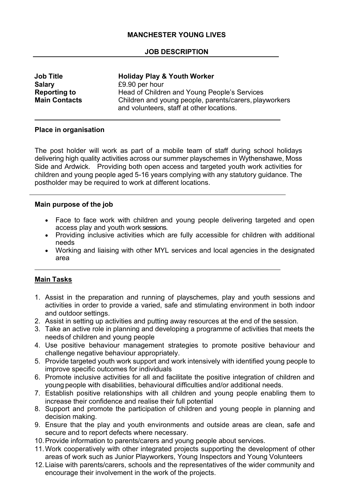# **MANCHESTER YOUNG LIVES**

## **JOB DESCRIPTION**

| <b>Job Title</b>     | <b>Holiday Play &amp; Youth Worker</b>                 |
|----------------------|--------------------------------------------------------|
| <b>Salary</b>        | £9.90 per hour                                         |
| <b>Reporting to</b>  | Head of Children and Young People's Services           |
| <b>Main Contacts</b> | Children and young people, parents/carers, playworkers |
|                      | and volunteers, staff at other locations.              |

### **Place in organisation**

The post holder will work as part of a mobile team of staff during school holidays delivering high quality activities across our summer playschemes in Wythenshawe, Moss Side and Ardwick. Providing both open access and targeted youth work activities for children and young people aged 5-16 years complying with any statutory guidance. The postholder may be required to work at different locations.

#### **Main purpose of the job**

- Face to face work with children and young people delivering targeted and open access play and youth work sessions.
- Providing inclusive activities which are fully accessible for children with additional needs
- Working and liaising with other MYL services and local agencies in the designated area

## **Main Tasks**

- 1. Assist in the preparation and running of playschemes, play and youth sessions and activities in order to provide a varied, safe and stimulating environment in both indoor and outdoor settings.
- 2. Assist in setting up activities and putting away resources at the end of the session.
- 3. Take an active role in planning and developing a programme of activities that meets the needs of children and young people
- 4. Use positive behaviour management strategies to promote positive behaviour and challenge negative behaviour appropriately.
- 5. Provide targeted youth work support and work intensively with identified young people to improve specific outcomes for individuals
- 6. Promote inclusive activities for all and facilitate the positive integration of children and young people with disabilities, behavioural difficulties and/or additional needs.
- 7. Establish positive relationships with all children and young people enabling them to increase their confidence and realise their full potential
- 8. Support and promote the participation of children and young people in planning and decision making.
- 9. Ensure that the play and youth environments and outside areas are clean, safe and secure and to report defects where necessary.
- 10.Provide information to parents/carers and young people about services.
- 11.Work cooperatively with other integrated projects supporting the development of other areas of work such as Junior Playworkers, Young Inspectors and Young Volunteers
- 12.Liaise with parents/carers, schools and the representatives of the wider community and encourage their involvement in the work of the projects.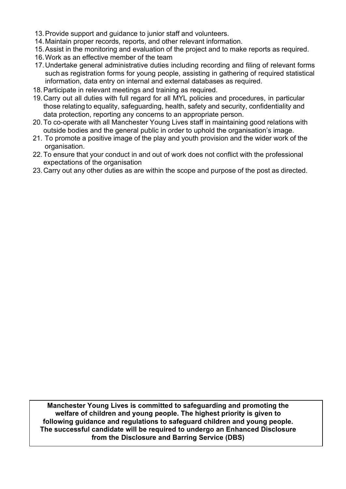- 13.Provide support and guidance to junior staff and volunteers.
- 14.Maintain proper records, reports, and other relevant information.
- 15.Assist in the monitoring and evaluation of the project and to make reports as required.
- 16.Work as an effective member of the team
- 17.Undertake general administrative duties including recording and filing of relevant forms such as registration forms for young people, assisting in gathering of required statistical information, data entry on internal and external databases as required.
- 18.Participate in relevant meetings and training as required.
- 19.Carry out all duties with full regard for all MYL policies and procedures, in particular those relatingto equality, safeguarding, health, safety and security, confidentiality and data protection, reporting any concerns to an appropriate person.
- 20.To co-operate with all Manchester Young Lives staff in maintaining good relations with outside bodies and the general public in order to uphold the organisation's image.
- 21. To promote a positive image of the play and youth provision and the wider work of the organisation.
- 22.To ensure that your conduct in and out of work does not conflict with the professional expectations of the organisation
- 23.Carry out any other duties as are within the scope and purpose of the post as directed.

**Manchester Young Lives is committed to safeguarding and promoting the welfare of children and young people. The highest priority is given to following guidance and regulations to safeguard children and young people. The successful candidate will be required to undergo an Enhanced Disclosure from the Disclosure and Barring Service (DBS)**